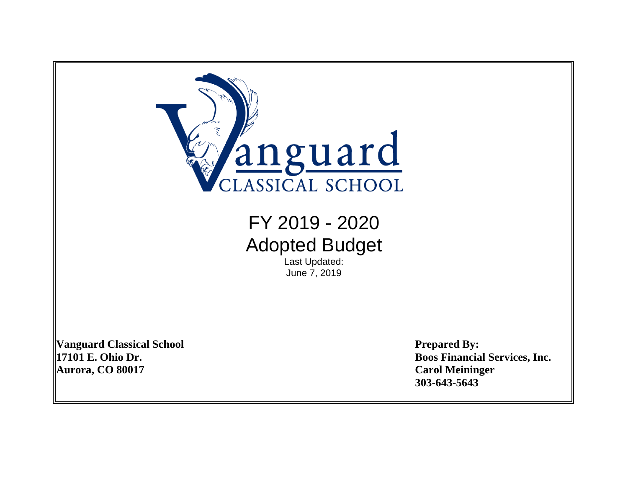

**Vanguard Classical School Prepared By: Aurora, CO 80017 Carol Meininger**

**17101 E. Ohio Dr. Boos Financial Services, Inc. 303-643-5643**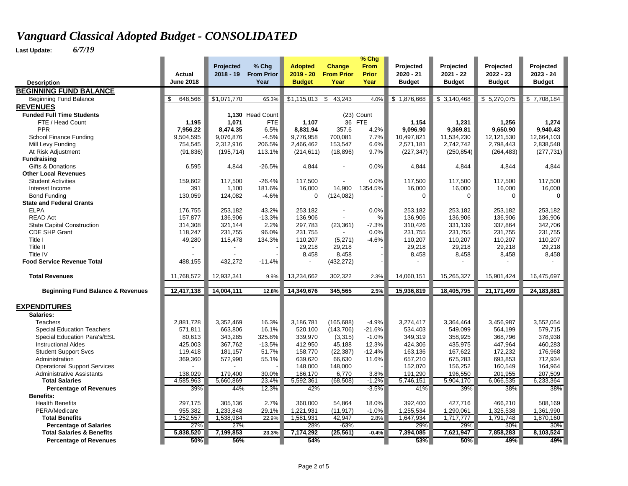|                                                            |                   | Projected          | % Chg              | <b>Adopted</b>     | <b>Change</b>     | $%$ Chg<br><b>From</b> | Projected          | Projected          | Projected          | Projected          |
|------------------------------------------------------------|-------------------|--------------------|--------------------|--------------------|-------------------|------------------------|--------------------|--------------------|--------------------|--------------------|
|                                                            | Actual            | $2018 - 19$        | <b>From Prior</b>  | $2019 - 20$        | <b>From Prior</b> | Prior                  | $2020 - 21$        | 2021 - 22          | $2022 - 23$        | $2023 - 24$        |
| <b>Description</b>                                         | <b>June 2018</b>  |                    | Year               | <b>Budget</b>      | Year              | Year                   | <b>Budget</b>      | <b>Budget</b>      | <b>Budget</b>      | <b>Budget</b>      |
| <b>BEGINNING FUND BALANCE</b>                              |                   |                    |                    |                    |                   |                        |                    |                    |                    |                    |
| <b>Beginning Fund Balance</b>                              | \$<br>648,566     | \$1,071,770        | 65.3%              | \$1,115,013        | \$<br>43,243      | 4.0%                   | \$1,876,668        | \$3,140,468        | \$5,270,075        | \$7,708,184        |
| <b>REVENUES</b>                                            |                   |                    |                    |                    |                   |                        |                    |                    |                    |                    |
| <b>Funded Full Time Students</b>                           |                   |                    | 1,130 Head Count   |                    |                   | (23) Count             |                    |                    |                    |                    |
| FTE / Head Count                                           | 1,195             | 1,071              | <b>FTE</b>         | 1,107              | 36 FTE            |                        | 1,154              | 1,231              | 1,256              | 1,274              |
| <b>PPR</b>                                                 | 7,956.22          | 8,474.35           | 6.5%               | 8,831.94           | 357.6             | 4.2%                   | 9,096.90           | 9,369.81           | 9,650.90           | 9,940.43           |
| School Finance Funding                                     | 9,504,595         | 9,076,876          | $-4.5%$            | 9,776,958          | 700,081           | 7.7%                   | 10,497,821         | 11,534,230         | 12,121,530         | 12,664,103         |
| Mill Levy Funding                                          | 754,545           | 2,312,916          | 206.5%             | 2,466,462          | 153,547           | 6.6%                   | 2,571,181          | 2,742,742          | 2,798,443          | 2,838,548          |
| At Risk Adjustment                                         | (91, 836)         | (195, 714)         | 113.1%             | (214, 611)         | (18, 896)         | 9.7%                   | (227, 347)         | (250, 854)         | (264, 483)         | (277, 731)         |
| <b>Fundraising</b>                                         |                   |                    |                    |                    |                   |                        |                    |                    |                    |                    |
| Gifts & Donations                                          | 6,595             | 4,844              | $-26.5%$           | 4,844              |                   | 0.0%                   | 4,844              | 4,844              | 4,844              | 4,844              |
| <b>Other Local Revenues</b>                                |                   |                    |                    |                    |                   |                        |                    |                    |                    |                    |
| <b>Student Activities</b>                                  | 159,602           | 117,500            | $-26.4%$           | 117,500            |                   | 0.0%                   | 117,500            | 117,500            | 117,500            | 117,500            |
| Interest Income                                            | 391               | 1,100              | 181.6%             | 16,000             | 14,900            | 1354.5%                | 16,000             | 16,000             | 16,000             | 16,000             |
| <b>Bond Funding</b>                                        | 130,059           | 124,082            | $-4.6%$            | $\mathbf 0$        | (124, 082)        |                        | $\mathbf 0$        | $\mathbf 0$        | $\mathbf 0$        | $\Omega$           |
| <b>State and Federal Grants</b>                            |                   |                    |                    |                    |                   |                        |                    |                    |                    |                    |
| <b>ELPA</b>                                                | 176,755           | 253,182            | 43.2%              | 253,182            | ÷,                | 0.0%                   | 253,182            | 253,182            | 253,182            | 253,182            |
| <b>READ Act</b>                                            | 157,877           | 136,906            | $-13.3%$           | 136,906            |                   | %                      | 136,906            | 136,906            | 136,906            | 136,906            |
| <b>State Capital Construction</b>                          | 314,308           | 321,144            | 2.2%               | 297,783            | (23, 361)         | $-7.3%$                | 310,426            | 331,139            | 337,864            | 342,706            |
| <b>CDE SHP Grant</b>                                       | 118,247           | 231,755            | 96.0%              | 231,755            |                   | 0.0%                   | 231,755            | 231,755            | 231,755            | 231,755            |
| Title I                                                    | 49,280            | 115,478            | 134.3%             | 110,207            | (5,271)           | $-4.6%$                | 110,207            | 110,207            | 110,207            | 110,207            |
| Title II                                                   |                   |                    |                    | 29,218             | 29,218            |                        | 29,218             | 29,218             | 29,218             | 29,218             |
| Title IV                                                   |                   |                    |                    | 8,458              | 8,458             |                        | 8,458              | 8,458              | 8,458              | 8,458              |
| <b>Food Service Revenue Total</b>                          | 488,155           | 432,272            | $-11.4%$           |                    | (432, 272)        |                        |                    |                    |                    |                    |
| <b>Total Revenues</b>                                      | 11,768,572        | 12,932,341         | 9.9%               | 13,234,662         | 302,322           | 2.3%                   | 14,060,151         | 15,265,327         | 15,901,424         | 16,475,697         |
| <b>Beginning Fund Balance &amp; Revenues</b>               | 12,417,138        | 14,004,111         | 12.8%              | 14,349,676         | 345,565           | 2.5%                   | 15,936,819         | 18,405,795         | 21,171,499         | 24,183,881         |
|                                                            |                   |                    |                    |                    |                   |                        |                    |                    |                    |                    |
| <b>EXPENDITURES</b>                                        |                   |                    |                    |                    |                   |                        |                    |                    |                    |                    |
| Salaries:                                                  |                   |                    |                    |                    |                   |                        |                    |                    |                    |                    |
| <b>Teachers</b>                                            | 2,881,728         | 3,352,469          | 16.3%              | 3,186,781          | (165, 688)        | $-4.9%$                | 3,274,417          | 3,364,464          | 3,456,987          | 3,552,054          |
| <b>Special Education Teachers</b>                          | 571,811           | 663,806            | 16.1%              | 520,100            | (143, 706)        | $-21.6%$               | 534,403            | 549,099            | 564,199            | 579,715            |
| Special Education Para's/ESL<br><b>Instructional Aides</b> | 80,613<br>425,003 | 343,285            | 325.8%<br>$-13.5%$ | 339,970<br>412,950 | (3,315)<br>45,188 | $-1.0%$                | 349,319            | 358,925            | 368,796            | 378,938            |
|                                                            | 119,418           | 367,762<br>181,157 | 51.7%              | 158,770            | (22, 387)         | 12.3%<br>$-12.4%$      | 424,306<br>163,136 | 435,975<br>167,622 | 447,964<br>172,232 | 460,283<br>176,968 |
| <b>Student Support Svcs</b><br>Administration              | 369,360           | 572,990            | 55.1%              | 639,620            | 66,630            | 11.6%                  | 657,210            | 675,283            | 693,853            | 712,934            |
| <b>Operational Support Services</b>                        |                   |                    |                    | 148,000            | 148,000           |                        | 152,070            | 156,252            | 160,549            | 164,964            |
| <b>Administrative Assistants</b>                           | 138,029           | 179,400            | 30.0%              | 186,170            | 6,770             | 3.8%                   | 191,290            | 196,550            | 201,955            | 207,509            |
| <b>Total Salaries</b>                                      | 4,585,963         | 5,660,869          | 23.4%              | 5,592,361          | (68, 508)         | $-1.2%$                | 5,746,151          | 5,904,170          | 6,066,535          | 6,233,364          |
| <b>Percentage of Revenues</b>                              | 39%               | 44%                | 12.3%              | 42%                |                   | $-3.5%$                | 41%                | 39%                | 38%                | 38%                |
| <b>Benefits:</b>                                           |                   |                    |                    |                    |                   |                        |                    |                    |                    |                    |
| <b>Health Benefits</b>                                     | 297,175           | 305,136            | 2.7%               | 360,000            | 54,864            | 18.0%                  | 392,400            | 427,716            | 466,210            | 508,169            |
| PERA/Medicare                                              | 955,382           | 1,233,848          | 29.1%              | 1,221,931          | (11, 917)         | $-1.0%$                | 1,255,534          | 1,290,061          | 1,325,538          | 1,361,990          |
| <b>Total Benefits</b>                                      | 1,252,557         | 1,538,984          | 22.9%              | 1,581,931          | 42,947            | 2.8%                   | 1,647,934          | 1,717,777          | 1,791,748          | 1,870,160          |
| <b>Percentage of Salaries</b>                              | 27%               | 27%                |                    | 28%                | $-63%$            |                        | 29%                | 29%                | 30%                | 30%                |
| <b>Total Salaries &amp; Benefits</b>                       | 5,838,520         | 7,199,853          | 23.3%              | 7,174,292          | (25, 561)         | $-0.4%$                | 7,394,085          | 7,621,947          | 7,858,283          | 8,103,524          |
| <b>Percentage of Revenues</b>                              | 50%               | 56%                |                    | 54%                |                   |                        | 53%                | 50%                | 49%                | 49%                |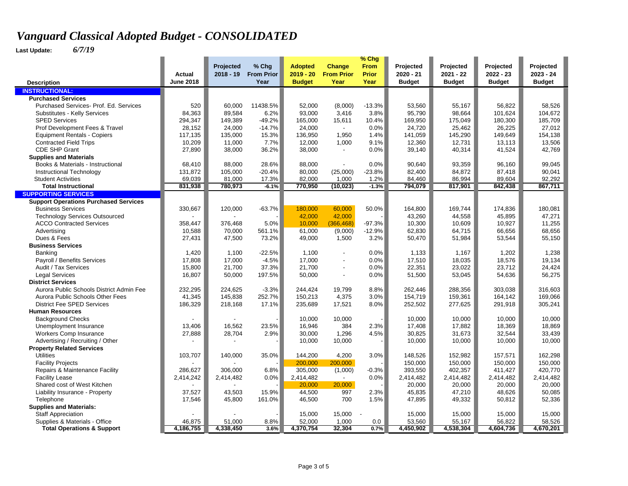|                                              |                  |             |                   |                |                          | % Chg        |               |               |               |               |
|----------------------------------------------|------------------|-------------|-------------------|----------------|--------------------------|--------------|---------------|---------------|---------------|---------------|
|                                              |                  | Projected   | % Chg             | <b>Adopted</b> | Change                   | <b>From</b>  | Projected     | Projected     | Projected     | Projected     |
|                                              | Actual           | $2018 - 19$ | <b>From Prior</b> | $2019 - 20$    | <b>From Prior</b>        | <b>Prior</b> | 2020 - 21     | 2021 - 22     | $2022 - 23$   | $2023 - 24$   |
| <b>Description</b>                           | <b>June 2018</b> |             | Year              | <b>Budget</b>  | Year                     | Year         | <b>Budget</b> | <b>Budget</b> | <b>Budget</b> | <b>Budget</b> |
| <b>INSTRUCTIONAL:</b>                        |                  |             |                   |                |                          |              |               |               |               |               |
| <b>Purchased Services</b>                    |                  |             |                   |                |                          |              |               |               |               |               |
| Purchased Services- Prof. Ed. Services       | 520              | 60,000      | 11438.5%          | 52,000         | (8,000)                  | $-13.3%$     | 53,560        | 55,167        | 56,822        | 58,526        |
| Substitutes - Kelly Services                 | 84,363           | 89,584      | 6.2%              | 93,000         | 3,416                    | 3.8%         | 95,790        | 98,664        | 101,624       | 104,672       |
| <b>SPED Services</b>                         | 294,347          | 149,389     | $-49.2%$          | 165,000        | 15,611                   | 10.4%        | 169,950       | 175,049       | 180,300       | 185,709       |
| Prof Development Fees & Travel               | 28,152           | 24,000      | $-14.7%$          | 24,000         | $\blacksquare$           | 0.0%         | 24,720        | 25,462        | 26,225        | 27,012        |
| <b>Equipment Rentals - Copiers</b>           | 117,135          | 135,000     | 15.3%             | 136,950        | 1,950                    | 1.4%         | 141,059       | 145,290       | 149,649       | 154,138       |
| <b>Contracted Field Trips</b>                | 10,209           | 11,000      | 7.7%              | 12,000         | 1,000                    | 9.1%         | 12,360        | 12,731        | 13,113        | 13,506        |
| <b>CDE SHP Grant</b>                         | 27,890           | 38,000      | 36.2%             | 38,000         | $\overline{\phantom{a}}$ | 0.0%         | 39,140        | 40,314        | 41,524        | 42,769        |
| <b>Supplies and Materials</b>                |                  |             |                   |                |                          |              |               |               |               |               |
| Books & Materials - Instructional            | 68,410           | 88,000      | 28.6%             | 88,000         | $\overline{a}$           | 0.0%         | 90.640        | 93,359        | 96.160        | 99.045        |
| Instructional Technology                     | 131,872          | 105,000     | $-20.4%$          | 80,000         | (25,000)                 | $-23.8%$     | 82,400        | 84,872        | 87,418        | 90,041        |
| <b>Student Activities</b>                    | 69,039           | 81,000      | 17.3%             | 82,000         | 1,000                    | 1.2%         | 84,460        | 86,994        | 89,604        | 92,292        |
| <b>Total Instructional</b>                   | 831,938          | 780,973     | $-6.1%$           | 770,950        | (10, 023)                | $-1.3%$      | 794,079       | 817,901       | 842,438       | 867,711       |
| <b>SUPPORTING SERVICES</b>                   |                  |             |                   |                |                          |              |               |               |               |               |
| <b>Support Operations Purchased Services</b> |                  |             |                   |                |                          |              |               |               |               |               |
| <b>Business Services</b>                     | 330,667          | 120,000     | $-63.7%$          | 180,000        | 60,000                   | 50.0%        | 164,800       | 169,744       | 174,836       | 180,081       |
| <b>Technology Services Outsourced</b>        |                  |             |                   | 42,000         | 42,000                   |              | 43,260        | 44,558        | 45,895        | 47,271        |
| <b>ACCO Contracted Services</b>              | 358,447          | 376,468     | 5.0%              | 10,000         | (366, 468)               | $-97.3%$     | 10,300        | 10,609        | 10,927        | 11,255        |
| Advertising                                  | 10,588           | 70,000      | 561.1%            | 61,000         | (9,000)                  | $-12.9%$     | 62,830        | 64,715        | 66,656        | 68,656        |
| Dues & Fees                                  | 27,431           | 47,500      | 73.2%             | 49,000         | 1,500                    | 3.2%         | 50,470        | 51,984        | 53,544        | 55,150        |
| <b>Business Services</b>                     |                  |             |                   |                |                          |              |               |               |               |               |
| Banking                                      | 1,420            | 1,100       | $-22.5%$          | 1,100          | $\blacksquare$           | 0.0%         | 1,133         | 1,167         | 1,202         | 1,238         |
| Payroll / Benefits Services                  | 17,808           | 17,000      | $-4.5%$           | 17,000         | $\overline{\phantom{a}}$ | 0.0%         | 17,510        | 18,035        | 18,576        | 19,134        |
| Audit / Tax Services                         | 15,800           | 21,700      | 37.3%             | 21,700         | ÷,                       | 0.0%         | 22,351        | 23,022        | 23,712        | 24,424        |
| <b>Legal Services</b>                        | 16,807           | 50,000      | 197.5%            | 50,000         | ÷,                       | 0.0%         | 51,500        | 53,045        | 54,636        | 56,275        |
| <b>District Services</b>                     |                  |             |                   |                |                          |              |               |               |               |               |
| Aurora Public Schools District Admin Fee     | 232,295          | 224,625     | $-3.3%$           | 244,424        | 19,799                   | 8.8%         | 262,446       | 288,356       | 303,038       | 316,603       |
| Aurora Public Schools Other Fees             | 41,345           | 145,838     | 252.7%            | 150,213        | 4,375                    | 3.0%         | 154,719       | 159,361       | 164,142       | 169,066       |
| <b>District Fee SPED Services</b>            | 186,329          | 218,168     | 17.1%             | 235,689        | 17,521                   | 8.0%         | 252,502       | 277,625       | 291,918       | 305,241       |
| <b>Human Resources</b>                       |                  |             |                   |                |                          |              |               |               |               |               |
| <b>Background Checks</b>                     |                  |             |                   | 10,000         | 10,000                   |              | 10,000        | 10,000        | 10,000        | 10,000        |
| Unemployment Insurance                       | 13,406           | 16,562      | 23.5%             | 16,946         | 384                      | 2.3%         | 17,408        | 17,882        | 18,369        | 18,869        |
| <b>Workers Comp Insurance</b>                | 27,888           | 28,704      | 2.9%              | 30,000         | 1,296                    | 4.5%         | 30,825        | 31,673        | 32,544        | 33,439        |
| Advertising / Recruiting / Other             |                  |             |                   | 10,000         | 10,000                   |              | 10,000        | 10,000        | 10,000        | 10,000        |
| <b>Property Related Services</b>             |                  |             |                   |                |                          |              |               |               |               |               |
| <b>Utilities</b>                             | 103,707          | 140,000     | 35.0%             | 144,200        | 4,200                    | 3.0%         | 148,526       | 152,982       | 157,571       | 162,298       |
| <b>Facility Projects</b>                     |                  |             |                   | 200,000        | 200,000                  |              | 150,000       | 150,000       | 150,000       | 150,000       |
| Repairs & Maintenance Facility               | 286,627          | 306,000     | 6.8%              | 305,000        | (1,000)                  | $-0.3%$      | 393,550       | 402,357       | 411,427       | 420,770       |
| <b>Facility Lease</b>                        | 2,414,242        | 2,414,482   | 0.0%              | 2,414,482      | $\blacksquare$           | 0.0%         | 2,414,482     | 2,414,482     | 2,414,482     | 2,414,482     |
| Shared cost of West Kitchen                  |                  |             |                   | 20,000         | 20,000                   |              | 20,000        | 20,000        | 20,000        | 20,000        |
| Liability Insurance - Property               | 37,527           | 43,503      | 15.9%             | 44,500         | 997                      | 2.3%         | 45,835        | 47,210        | 48,626        | 50,085        |
| Telephone                                    | 17,546           | 45,800      | 161.0%            | 46,500         | 700                      | 1.5%         | 47,895        | 49,332        | 50,812        | 52,336        |
| <b>Supplies and Materials:</b>               |                  |             |                   |                |                          |              |               |               |               |               |
| <b>Staff Appreciation</b>                    |                  |             |                   | 15,000         | 15,000                   |              | 15,000        | 15,000        | 15,000        | 15,000        |
| Supplies & Materials - Office                | 46,875           | 51,000      | 8.8%              | 52,000         | 1,000                    | 0.0          | 53,560        | 55,167        | 56,822        | 58,526        |
| <b>Total Operations &amp; Support</b>        | 4,186,755        | 4,338,450   | 3.6%              | 4,370,754      | 32,304                   | 0.7%         | 4,450,902     | 4,538,304     | 4,604,736     | 4,670,201     |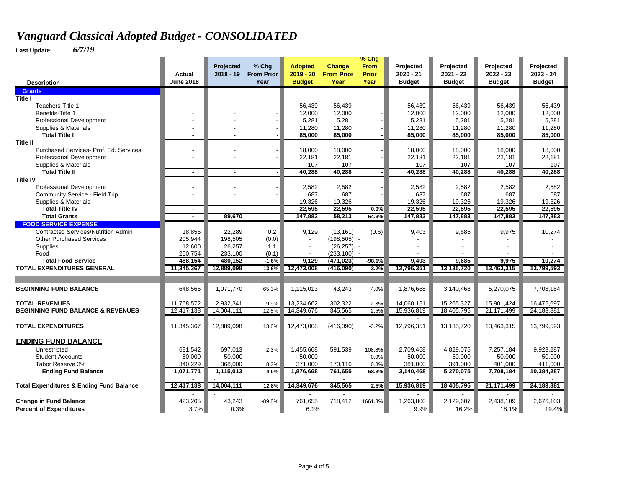|                                                     |                          |                          |                     |                               |                              | $%$ Chg              |                          |                          |                          |                          |
|-----------------------------------------------------|--------------------------|--------------------------|---------------------|-------------------------------|------------------------------|----------------------|--------------------------|--------------------------|--------------------------|--------------------------|
|                                                     | Actual                   | Projected<br>$2018 - 19$ | % Chg<br>From Prior | <b>Adopted</b><br>$2019 - 20$ | Change<br><b>From Prior</b>  | <b>From</b><br>Prior | Projected<br>$2020 - 21$ | Projected<br>$2021 - 22$ | Projected<br>$2022 - 23$ | Projected<br>$2023 - 24$ |
| <b>Description</b>                                  | <b>June 2018</b>         |                          | Year                | <b>Budget</b>                 | Year                         | Year                 | <b>Budget</b>            | <b>Budget</b>            | <b>Budget</b>            | <b>Budget</b>            |
| <b>Grants</b>                                       |                          |                          |                     |                               |                              |                      |                          |                          |                          |                          |
| <b>Title I</b>                                      |                          |                          |                     |                               |                              |                      |                          |                          |                          |                          |
| Teachers-Title 1                                    |                          |                          |                     | 56,439                        | 56,439                       |                      | 56,439                   | 56,439                   | 56,439                   | 56,439                   |
| Benefits-Title 1                                    |                          |                          |                     | 12,000                        | 12,000                       |                      | 12,000                   | 12,000                   | 12,000                   | 12,000                   |
| Professional Development                            |                          |                          |                     | 5,281                         | 5,281                        |                      | 5,281                    | 5,281                    | 5,281                    | 5,281                    |
| Supplies & Materials                                |                          |                          |                     | 11,280                        | 11,280                       |                      | 11,280                   | 11,280                   | 11,280                   | 11,280                   |
| <b>Total Title I</b>                                | $\blacksquare$           | $\sim$                   |                     | 85,000                        | 85,000                       |                      | 85,000                   | 85,000                   | 85,000                   | 85,000                   |
| <b>Title II</b>                                     |                          |                          |                     |                               |                              |                      |                          |                          |                          |                          |
| Purchased Services- Prof. Ed. Services              | $\blacksquare$           |                          |                     | 18.000<br>22,181              | 18,000<br>22,181             |                      | 18.000<br>22,181         | 18,000                   | 18.000                   | 18,000                   |
| Professional Development<br>Supplies & Materials    |                          |                          |                     | 107                           | 107                          |                      | 107                      | 22,181<br>107            | 22,181<br>107            | 22,181<br>107            |
| <b>Total Title II</b>                               | ٠                        |                          |                     | 40,288                        | 40,288                       |                      | 40,288                   | 40,288                   | 40,288                   | 40,288                   |
| <b>Title IV</b>                                     |                          |                          |                     |                               |                              |                      |                          |                          |                          |                          |
| <b>Professional Development</b>                     |                          |                          |                     | 2,582                         | 2,582                        |                      | 2,582                    | 2,582                    | 2,582                    | 2,582                    |
| Community Service - Field Trip                      |                          |                          |                     | 687                           | 687                          |                      | 687                      | 687                      | 687                      | 687                      |
| Supplies & Materials                                | $\overline{\phantom{a}}$ |                          |                     | 19.326                        | 19.326                       |                      | 19.326                   | 19.326                   | 19.326                   | 19.326                   |
| <b>Total Title IV</b>                               | $\blacksquare$           |                          |                     | 22,595                        | 22,595                       | 0.0%                 | 22,595                   | 22,595                   | 22,595                   | 22,595                   |
| <b>Total Grants</b>                                 | $\blacksquare$           | 89,670                   |                     | 147,883                       | 58,213                       | 64.9%                | 147,883                  | 147,883                  | 147,883                  | 147,883                  |
| <b>FOOD SERVICE EXPENSE</b>                         |                          |                          |                     |                               |                              |                      |                          |                          |                          |                          |
| <b>Contracted Services/Nutrition Admin</b>          | 18,856                   | 22,289                   | 0.2                 | 9,129                         | (13, 161)                    | (0.6)                | 9,403                    | 9,685                    | 9,975                    | 10,274                   |
| <b>Other Purchased Services</b>                     | 205,944                  | 198,505                  | (0.0)               |                               | $(198, 505)$ -               |                      |                          |                          |                          |                          |
| Supplies<br>Food                                    | 12,600                   | 26,257<br>233,100        | 1.1                 |                               | $(26, 257)$ -                |                      |                          |                          |                          |                          |
| <b>Total Food Service</b>                           | 250,754<br>488,154       | 480,152                  | (0.1)<br>$-1.6%$    | 9,129                         | $(233, 100) -$<br>(471, 023) | $-98.1%$             | 9,403                    | 9,685                    | 9,975                    | 10,274                   |
| <b>TOTAL EXPENDITURES GENERAL</b>                   | 11,345,367               | 12,889,098               | 13.6%               | 12,473,008                    | (416,090)                    | $-3.2%$              | 12,796,351               | 13,135,720               | 13,463,315               | 13,799,593               |
|                                                     |                          |                          |                     |                               |                              |                      |                          |                          |                          |                          |
|                                                     |                          |                          |                     |                               |                              |                      |                          |                          |                          |                          |
| <b>BEGINNING FUND BALANCE</b>                       | 648,566                  | 1.071.770                | 65.3%               | 1.115.013                     | 43,243                       | 4.0%                 | 1,876,668                | 3,140,468                | 5,270,075                | 7,708,184                |
| <b>TOTAL REVENUES</b>                               | 11.768.572               | 12,932,341               | 9.9%                | 13,234,662                    | 302.322                      | 2.3%                 | 14.060.151               | 15.265.327               | 15.901.424               | 16,475,697               |
| <b>BEGINNING FUND BALANCE &amp; REVENUES</b>        | 12,417,138               | 14,004,111               | 12.8%               | 14,349,676                    | 345,565                      | 2.5%                 | 15,936,819               | 18,405,795               | 21,171,499               | 24, 183, 881             |
|                                                     |                          |                          |                     |                               |                              |                      |                          |                          |                          |                          |
| <b>TOTAL EXPENDITURES</b>                           | 11,345,367               | 12,889,098               | 13.6%               | 12,473,008                    | (416,090)                    | $-3.2%$              | 12,796,351               | 13,135,720               | 13,463,315               | 13,799,593               |
|                                                     |                          |                          |                     |                               |                              |                      |                          |                          |                          |                          |
| <b>ENDING FUND BALANCE</b>                          |                          |                          |                     |                               |                              |                      |                          |                          |                          |                          |
| Unrestricted                                        | 681,542                  | 697,013                  | 2.3%                | 1,455,668                     | 591,539                      | 108.8%               | 2,709,468                | 4,829,075                | 7,257,184                | 9,923,287                |
| <b>Student Accounts</b>                             | 50.000                   | 50,000                   |                     | 50.000                        |                              | 0.0%                 | 50,000                   | 50,000                   | 50,000                   | 50,000                   |
| Tabor Reserve 3%                                    | 340,229                  | 368,000                  | 8.2%                | 371,000                       | 170,116                      | 0.8%                 | 381,000                  | 391,000                  | 401,000                  | 411,000                  |
| <b>Ending Fund Balance</b>                          | 1,071,771                | 1,115,013                | 4.0%                | 1,876,668                     | 761,655<br>$\overline{a}$    | 68.3%                | 3,140,468                | 5,270,075                | 7,708,184                | 10,384,287               |
| <b>Total Expenditures &amp; Ending Fund Balance</b> | 12,417,138               | 14,004,111               | 12.8%               | 14,349,676                    | 345,565                      | 2.5%                 | 15,936,819               | 18,405,795               | 21,171,499               | 24,183,881               |
|                                                     |                          |                          |                     |                               |                              |                      |                          |                          |                          |                          |
| <b>Change in Fund Balance</b>                       | 423,205                  | 43,243                   | $-89.8%$            | 761,655                       | 718,412                      | 1661.3%              | 1,263,800                | 2,129,607                | 2,438,109                | 2,676,103                |
| <b>Percent of Expenditures</b>                      | 3.7%                     | 0.3%                     |                     | 6.1%                          |                              |                      | $9.9\%$                  | 16.2%                    | 18.1%                    | 19.4%                    |
|                                                     |                          |                          |                     |                               |                              |                      |                          |                          |                          |                          |